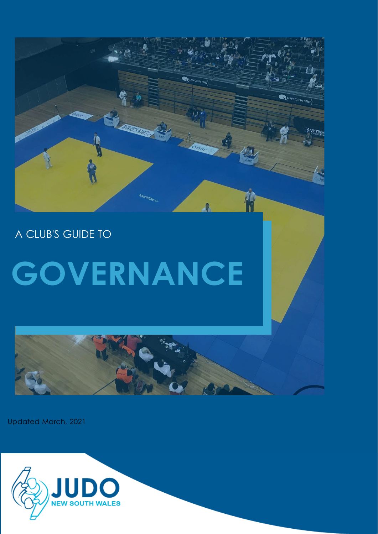

A CLUB'S GUIDE TO

# **GOVERNANCE**

Updated March, 2021

![](_page_0_Picture_4.jpeg)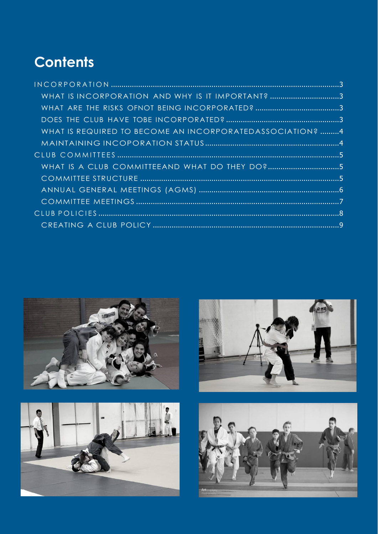## **Contents**

| WHAT IS INCORPORATION AND WHY IS IT IMPORTANT? 3         |  |
|----------------------------------------------------------|--|
|                                                          |  |
|                                                          |  |
| WHAT IS REQUIRED TO BECOME AN INCORPORATEDASSOCIATION? 4 |  |
|                                                          |  |
|                                                          |  |
| WHAT IS A CLUB COMMITTEEAND WHAT DO THEY DO?5            |  |
|                                                          |  |
|                                                          |  |
|                                                          |  |
|                                                          |  |
|                                                          |  |

![](_page_1_Picture_2.jpeg)

![](_page_1_Picture_3.jpeg)

![](_page_1_Picture_4.jpeg)

![](_page_1_Picture_5.jpeg)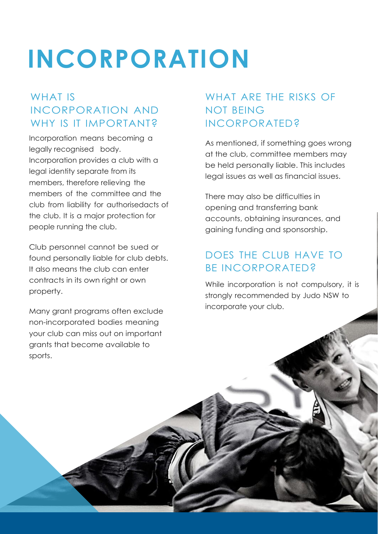## <span id="page-2-0"></span>**INCORPORATION**

### <span id="page-2-1"></span>WHAT IS INCORPORATION AND WHY IS IT IMPORTANT?

Incorporation means becoming a legally recognised body. Incorporation provides a club with a legal identity separate from its members, therefore relieving the members of the committee and the club from liability for authorisedacts of the club. It is a major protection for people running the club.

Club personnel cannot be sued or found personally liable for club debts. It also means the club can enter contracts in its own right or own property.

Many grant programs often exclude non-incorporated bodies meaning your club can miss out on important grants that become available to sports.

#### <span id="page-2-2"></span>WHAT ARE THE RISKS OF NOT BEING INCORPORATED?

As mentioned, if something goes wrong at the club, committee members may be held personally liable. This includes legal issues as well as financial issues.

There may also be difficulties in opening and transferring bank accounts, obtaining insurances, and gaining funding and sponsorship.

#### <span id="page-2-3"></span>DOES THE CLUB HAVE TO BE INCORPORATED?

While incorporation is not compulsory, it is strongly recommended by Judo NSW to incorporate your club.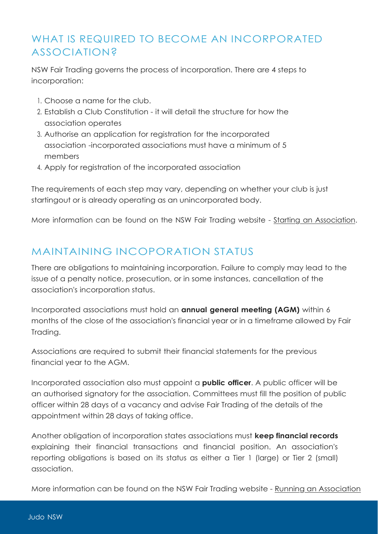### <span id="page-3-0"></span>WHAT IS REQUIRED TO BECOME AN INCORPORATED ASSOCIATION?

NSW Fair Trading governs the process of incorporation. There are 4 steps to incorporation:

- 1. Choose a name for the club.
- 2. Establish a Club Constitution it will detail the structure for how the association operates
- 3. Authorise an application for registration for the incorporated association -incorporated associations must have a minimum of 5 members
- 4. Apply for registration of the incorporated association

The requirements of each step may vary, depending on whether your club is just startingout or is already operating as an unincorporated body.

More information can be found on the NSW Fair Trading website - Starting an [Association.](https://www.fairtrading.nsw.gov.au/associations-and-co-operatives/associations/starting-an-association)

#### <span id="page-3-1"></span>MAINTAINING INCOPORATION STATUS

There are obligations to maintaining incorporation. Failure to comply may lead to the issue of a penalty notice, prosecution, or in some instances, cancellation of the association's incorporation status.

Incorporated associations must hold an **annual general meeting (AGM)** within 6 months of the close of the association's financial year or in a timeframe allowed by Fair Trading.

Associations are required to submit their financial statements for the previous financial year to the AGM.

Incorporated association also must appoint a **public officer**. A public officer will be an authorised signatory for the association. Committees must fill the position of public officer within 28 days of a vacancy and advise Fair Trading of the details of the appointment within 28 days of taking office.

Another obligation of incorporation states associations must **keep financial records** explaining their financial transactions and financial position. An association's reporting obligations is based on its status as either a Tier 1 (large) or Tier 2 (small) association.

More information can be found on the NSW Fair Trading website - Running an [Association](https://www.fairtrading.nsw.gov.au/associations-and-co-operatives/associations/running-an-association)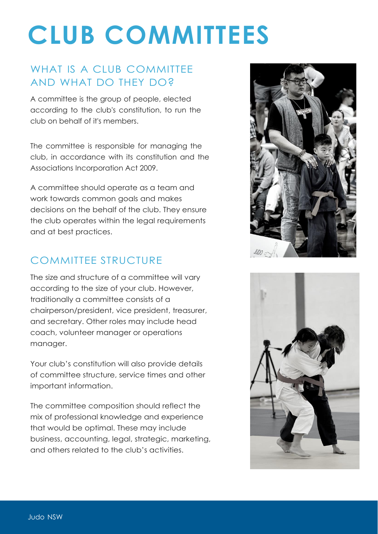## <span id="page-4-0"></span>**CLUB COMMITTEES**

### <span id="page-4-1"></span>WHAT IS A CLUB COMMITTEE AND WHAT DO THEY DO?

A committee is the group of people, elected according to the club's constitution, to run the club on behalf of it's members.

The committee is responsible for managing the club, in accordance with its constitution and the Associations Incorporation Act 2009.

A committee should operate as a team and work towards common goals and makes decisions on the behalf of the club. They ensure the club operates within the legal requirements and at best practices.

#### <span id="page-4-2"></span>COMMITTEE STRUCTURE

The size and structure of a committee will vary according to the size of your club. However, traditionally a committee consists of a chairperson/president, vice president, treasurer, and secretary. Other roles may include head coach, volunteer manager or operations manager.

Your club's constitution will also provide details of committee structure, service times and other important information.

The committee composition should reflect the mix of professional knowledge and experience that would be optimal. These may include business, accounting, legal, strategic, marketing, and others related to the club's activities.

![](_page_4_Picture_9.jpeg)

![](_page_4_Picture_10.jpeg)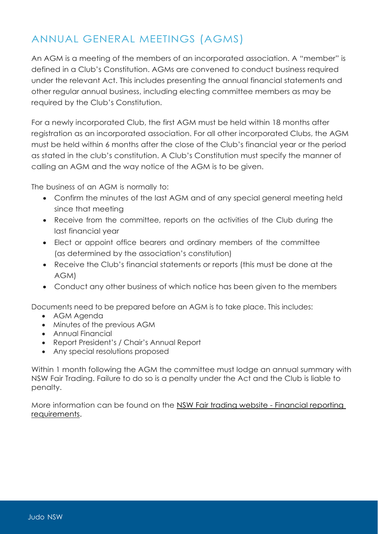### <span id="page-5-0"></span>ANNUAL GENERAL MEETINGS (AGMS)

An AGM is a meeting of the members of an incorporated association. A "member" is defined in a Club's Constitution. AGMs are convened to conduct business required under the relevant Act. This includes presenting the annual financial statements and other regular annual business, including electing committee members as may be required by the Club's Constitution.

For a newly incorporated Club, the first AGM must be held within 18 months after registration as an incorporated association. For all other incorporated Clubs, the AGM must be held within 6 months after the close of the Club's financial year or the period as stated in the club's constitution. A Club's Constitution must specify the manner of calling an AGM and the way notice of the AGM is to be given.

The business of an AGM is normally to:

- Confirm the minutes of the last AGM and of any special general meeting held since that meeting
- Receive from the committee, reports on the activities of the Club during the last financial year
- Elect or appoint office bearers and ordinary members of the committee (as determined by the association's constitution)
- Receive the Club's financial statements or reports (this must be done at the AGM)
- Conduct any other business of which notice has been given to the members

Documents need to be prepared before an AGM is to take place. This includes:

- AGM Agenda
- Minutes of the previous AGM
- Annual Financial
- Report President's / Chair's Annual Report
- Any special resolutions proposed

Within 1 month following the AGM the committee must lodge an annual summary with NSW Fair Trading. Failure to do so is a penalty under the Act and the Club is liable to penalty.

More information can be found on the [NSW Fair trading website -](https://www.fairtrading.nsw.gov.au/associations-and-co-operatives/associations/running-an-association/financial-reporting-requirements) Financial reporting [requirements.](https://www.fairtrading.nsw.gov.au/associations-and-co-operatives/associations/running-an-association/financial-reporting-requirements)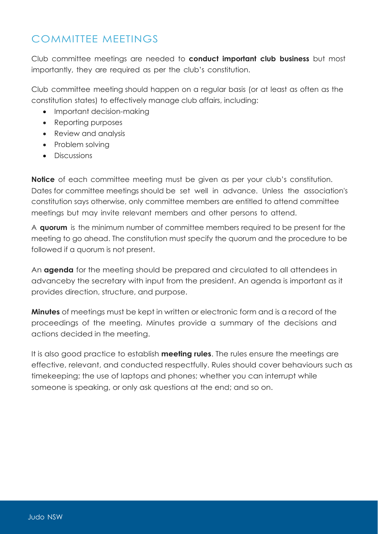#### <span id="page-6-0"></span>COMMITTEE MEETINGS

Club committee meetings are needed to **conduct important club business** but most importantly, they are required as per the club's constitution.

Club committee meeting should happen on a regular basis (or at least as often as the constitution states) to effectively manage club affairs, including:

- Important decision-making
- Reporting purposes
- Review and analysis
- Problem solving
- Discussions

**Notice** of each committee meeting must be given as per your club's constitution. Dates for committee meetings should be set well in advance. Unless the association's constitution says otherwise, only committee members are entitled to attend committee meetings but may invite relevant members and other persons to attend.

A **quorum** is the minimum number of committee members required to be present for the meeting to go ahead. The constitution must specify the quorum and the procedure to be followed if a quorum is not present.

An **agenda** for the meeting should be prepared and circulated to all attendees in advanceby the secretary with input from the president. An agenda is important as it provides direction, structure, and purpose.

**Minutes** of meetings must be kept in written or electronic form and is a record of the proceedings of the meeting. Minutes provide a summary of the decisions and actions decided in the meeting.

It is also good practice to establish **meeting rules**. The rules ensure the meetings are effective, relevant, and conducted respectfully. Rules should cover behaviours such as timekeeping; the use of laptops and phones; whether you can interrupt while someone is speaking, or only ask questions at the end; and so on.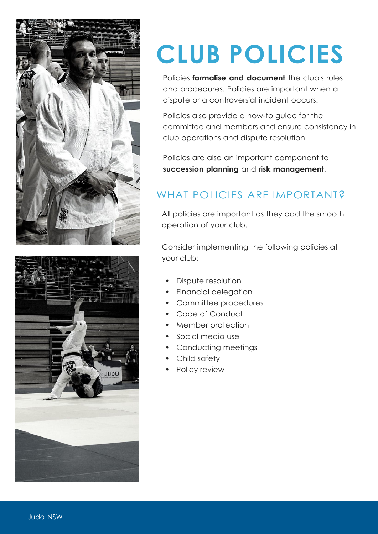<span id="page-7-0"></span>![](_page_7_Picture_0.jpeg)

OQUL

## **CLUB POLICIES**

Policies **formalise and document** the club's rules and procedures. Policies are important when a dispute or a controversial incident occurs.

Policies also provide a how-to guide for the committee and members and ensure consistency in club operations and dispute resolution.

Policies are also an important component to **succession planning** and **risk management**.

## WHAT POLICIES ARE IMPORTANT?

All policies are important as they add the smooth operation of your club.

Consider implementing the following policies at your club:

- Dispute resolution
- Financial delegation
- Committee procedures
- Code of Conduct
- Member protection
- Social media use
- Conducting meetings
- Child safety
- Policy review